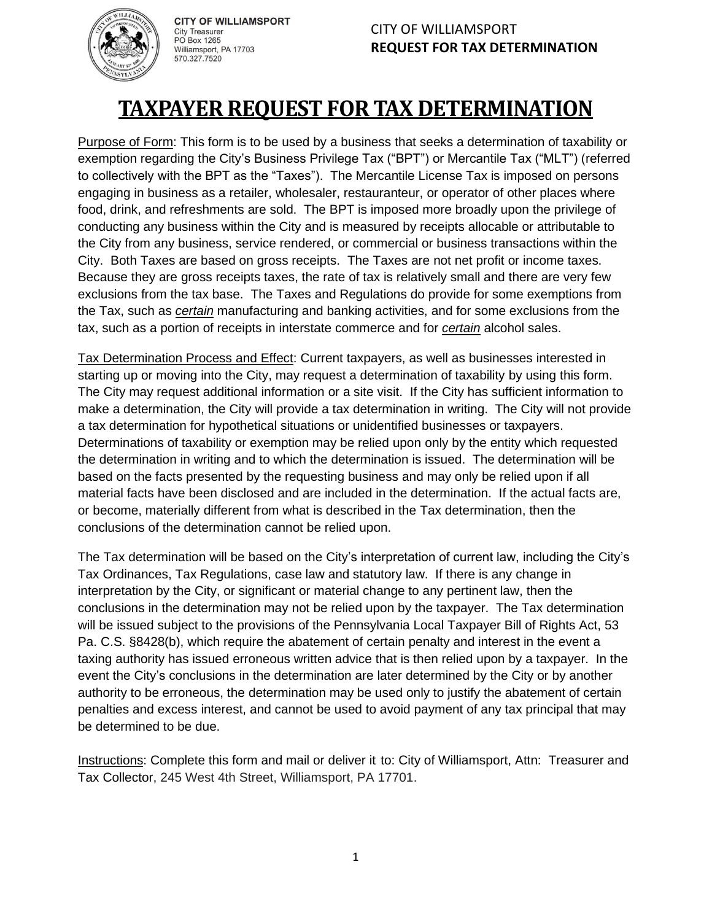

## CITY OF WILLIAMSPORT **REQUEST FOR TAX DETERMINATION**

# **TAXPAYER REQUEST FOR TAX DETERMINATION**

Purpose of Form: This form is to be used by a business that seeks a determination of taxability or exemption regarding the City's Business Privilege Tax ("BPT") or Mercantile Tax ("MLT") (referred to collectively with the BPT as the "Taxes"). The Mercantile License Tax is imposed on persons engaging in business as a retailer, wholesaler, restauranteur, or operator of other places where food, drink, and refreshments are sold. The BPT is imposed more broadly upon the privilege of conducting any business within the City and is measured by receipts allocable or attributable to the City from any business, service rendered, or commercial or business transactions within the City. Both Taxes are based on gross receipts. The Taxes are not net profit or income taxes. Because they are gross receipts taxes, the rate of tax is relatively small and there are very few exclusions from the tax base. The Taxes and Regulations do provide for some exemptions from the Tax, such as *certain* manufacturing and banking activities, and for some exclusions from the tax, such as a portion of receipts in interstate commerce and for *certain* alcohol sales.

Tax Determination Process and Effect: Current taxpayers, as well as businesses interested in starting up or moving into the City, may request a determination of taxability by using this form. The City may request additional information or a site visit. If the City has sufficient information to make a determination, the City will provide a tax determination in writing. The City will not provide a tax determination for hypothetical situations or unidentified businesses or taxpayers. Determinations of taxability or exemption may be relied upon only by the entity which requested the determination in writing and to which the determination is issued. The determination will be based on the facts presented by the requesting business and may only be relied upon if all material facts have been disclosed and are included in the determination. If the actual facts are, or become, materially different from what is described in the Tax determination, then the conclusions of the determination cannot be relied upon.

The Tax determination will be based on the City's interpretation of current law, including the City's Tax Ordinances, Tax Regulations, case law and statutory law. If there is any change in interpretation by the City, or significant or material change to any pertinent law, then the conclusions in the determination may not be relied upon by the taxpayer. The Tax determination will be issued subject to the provisions of the Pennsylvania Local Taxpayer Bill of Rights Act, 53 Pa. C.S. §8428(b), which require the abatement of certain penalty and interest in the event a taxing authority has issued erroneous written advice that is then relied upon by a taxpayer. In the event the City's conclusions in the determination are later determined by the City or by another authority to be erroneous, the determination may be used only to justify the abatement of certain penalties and excess interest, and cannot be used to avoid payment of any tax principal that may be determined to be due.

Instructions: Complete this form and mail or deliver it to: City of Williamsport, Attn: Treasurer and Tax Collector, 245 West 4th Street, Williamsport, PA 17701.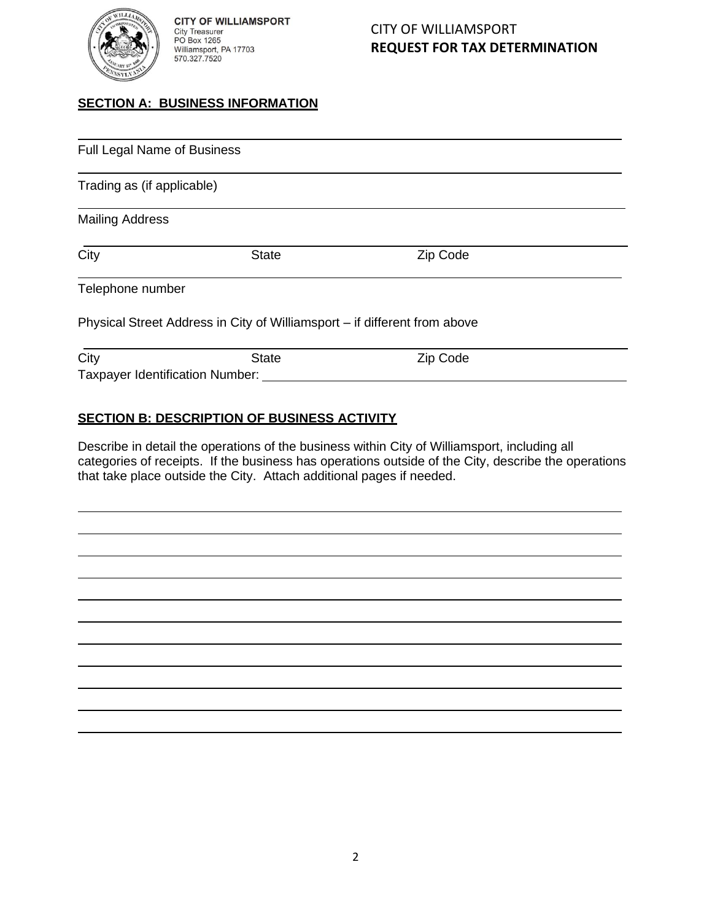

# CITY OF WILLIAMSPORT **REQUEST FOR TAX DETERMINATION**

# **SECTION A: BUSINESS INFORMATION**

| <b>Full Legal Name of Business</b> |                                                                           |          |  |
|------------------------------------|---------------------------------------------------------------------------|----------|--|
| Trading as (if applicable)         |                                                                           |          |  |
| <b>Mailing Address</b>             |                                                                           |          |  |
| City                               | <b>State</b>                                                              | Zip Code |  |
| Telephone number                   |                                                                           |          |  |
|                                    | Physical Street Address in City of Williamsport - if different from above |          |  |
| City                               | <b>State</b>                                                              | Zip Code |  |
| Taxpayer Identification Number: _  |                                                                           |          |  |

#### **SECTION B: DESCRIPTION OF BUSINESS ACTIVITY**

Describe in detail the operations of the business within City of Williamsport, including all categories of receipts. If the business has operations outside of the City, describe the operations that take place outside the City. Attach additional pages if needed.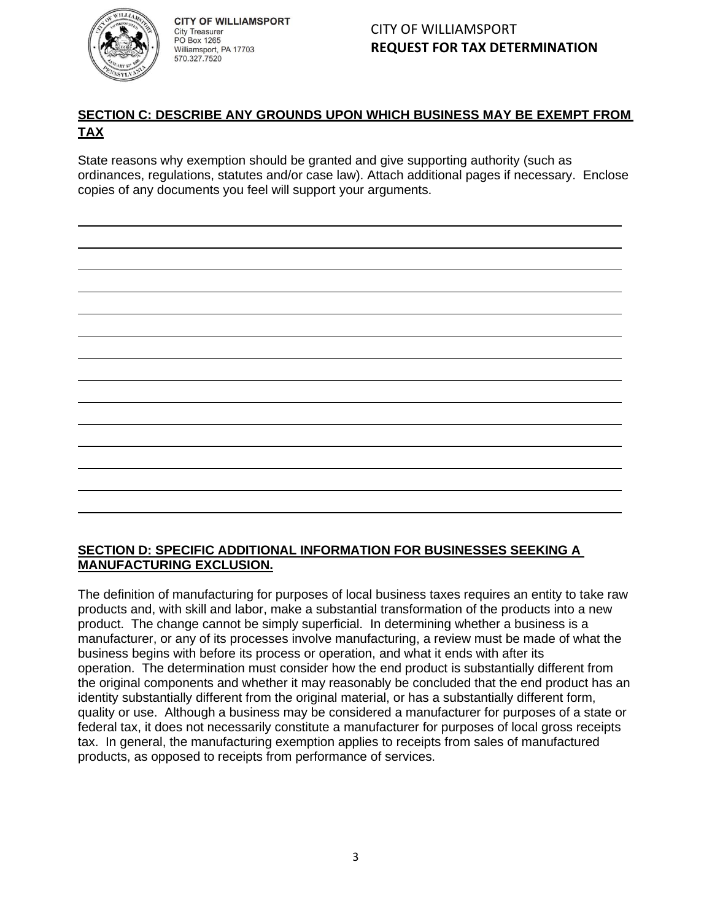

## **SECTION C: DESCRIBE ANY GROUNDS UPON WHICH BUSINESS MAY BE EXEMPT FROM TAX**

State reasons why exemption should be granted and give supporting authority (such as ordinances, regulations, statutes and/or case law). Attach additional pages if necessary. Enclose copies of any documents you feel will support your arguments.

#### **SECTION D: SPECIFIC ADDITIONAL INFORMATION FOR BUSINESSES SEEKING A MANUFACTURING EXCLUSION.**

The definition of manufacturing for purposes of local business taxes requires an entity to take raw products and, with skill and labor, make a substantial transformation of the products into a new product. The change cannot be simply superficial. In determining whether a business is a manufacturer, or any of its processes involve manufacturing, a review must be made of what the business begins with before its process or operation, and what it ends with after its operation. The determination must consider how the end product is substantially different from the original components and whether it may reasonably be concluded that the end product has an identity substantially different from the original material, or has a substantially different form, quality or use. Although a business may be considered a manufacturer for purposes of a state or federal tax, it does not necessarily constitute a manufacturer for purposes of local gross receipts tax. In general, the manufacturing exemption applies to receipts from sales of manufactured products, as opposed to receipts from performance of services.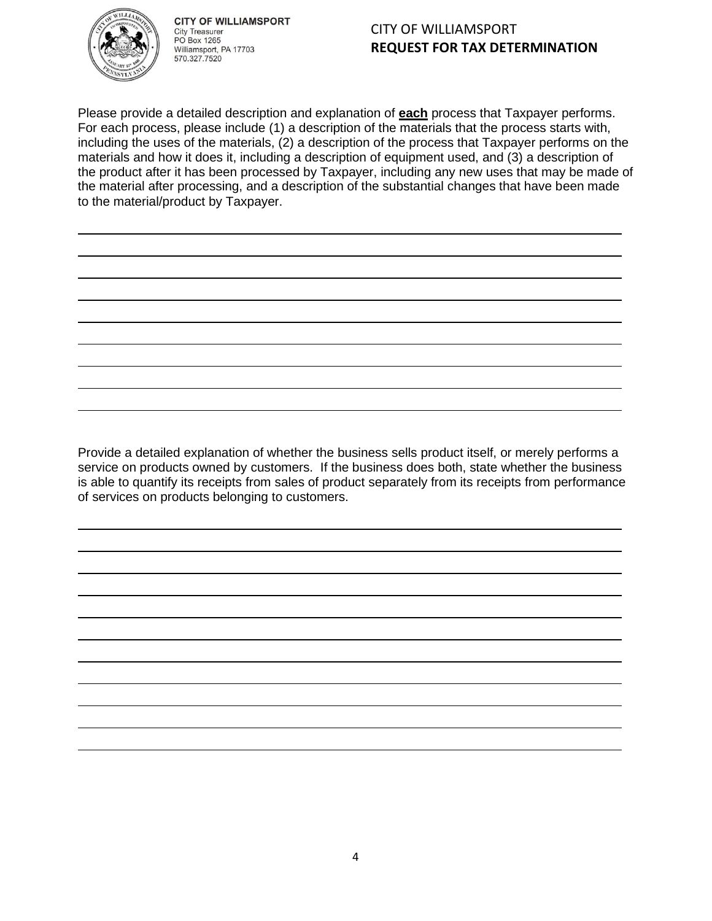

## CITY OF WILLIAMSPORT **REQUEST FOR TAX DETERMINATION**

Please provide a detailed description and explanation of **each** process that Taxpayer performs. For each process, please include (1) a description of the materials that the process starts with, including the uses of the materials, (2) a description of the process that Taxpayer performs on the materials and how it does it, including a description of equipment used, and (3) a description of the product after it has been processed by Taxpayer, including any new uses that may be made of the material after processing, and a description of the substantial changes that have been made to the material/product by Taxpayer.

Provide a detailed explanation of whether the business sells product itself, or merely performs a service on products owned by customers. If the business does both, state whether the business is able to quantify its receipts from sales of product separately from its receipts from performance of services on products belonging to customers.